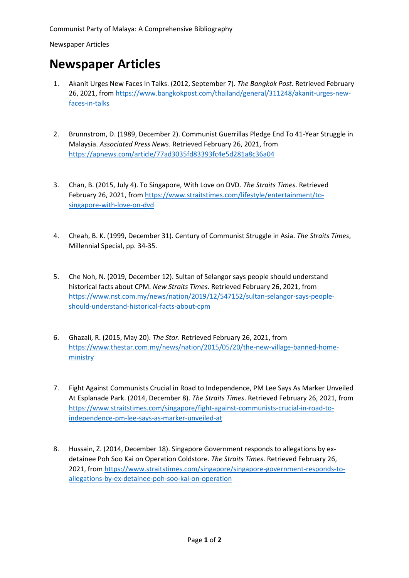Communist Party of Malaya: A Comprehensive Bibliography

Newspaper Articles

## **Newspaper Articles**

- 1. Akanit Urges New Faces In Talks. (2012, September 7). *The Bangkok Post*. Retrieved February 26, 2021, from [https://www.bangkokpost.com/thailand/general/311248/akanit-urges-new](https://www.bangkokpost.com/thailand/general/311248/akanit-urges-new-faces-in-talks)[faces-in-talks](https://www.bangkokpost.com/thailand/general/311248/akanit-urges-new-faces-in-talks)
- 2. Brunnstrom, D. (1989, December 2). Communist Guerrillas Pledge End To 41-Year Struggle in Malaysia. *Associated Press News*. Retrieved February 26, 2021, from <https://apnews.com/article/77ad3035fd83393fc4e5d281a8c36a04>
- 3. Chan, B. (2015, July 4). To Singapore, With Love on DVD. *The Straits Times*. Retrieved February 26, 2021, from [https://www.straitstimes.com/lifestyle/entertainment/to](https://www.straitstimes.com/lifestyle/entertainment/to-singapore-with-love-on-dvd)[singapore-with-love-on-dvd](https://www.straitstimes.com/lifestyle/entertainment/to-singapore-with-love-on-dvd)
- 4. Cheah, B. K. (1999, December 31). Century of Communist Struggle in Asia. *The Straits Times*, Millennial Special, pp. 34-35.
- 5. Che Noh, N. (2019, December 12). Sultan of Selangor says people should understand historical facts about CPM. *New Straits Times*. Retrieved February 26, 2021, from [https://www.nst.com.my/news/nation/2019/12/547152/sultan-selangor-says-people](https://www.nst.com.my/news/nation/2019/12/547152/sultan-selangor-says-people-should-understand-historical-facts-about-cpm)[should-understand-historical-facts-about-cpm](https://www.nst.com.my/news/nation/2019/12/547152/sultan-selangor-says-people-should-understand-historical-facts-about-cpm)
- 6. Ghazali, R. (2015, May 20). *The Star*. Retrieved February 26, 2021, from [https://www.thestar.com.my/news/nation/2015/05/20/the-new-village-banned-home](https://www.thestar.com.my/news/nation/2015/05/20/the-new-village-banned-home-ministry)[ministry](https://www.thestar.com.my/news/nation/2015/05/20/the-new-village-banned-home-ministry)
- 7. Fight Against Communists Crucial in Road to Independence, PM Lee Says As Marker Unveiled At Esplanade Park. (2014, December 8). *The Straits Times*. Retrieved February 26, 2021, from [https://www.straitstimes.com/singapore/fight-against-communists-crucial-in-road-to](https://www.straitstimes.com/singapore/fight-against-communists-crucial-in-road-to-independence-pm-lee-says-as-marker-unveiled-at)[independence-pm-lee-says-as-marker-unveiled-at](https://www.straitstimes.com/singapore/fight-against-communists-crucial-in-road-to-independence-pm-lee-says-as-marker-unveiled-at)
- 8. Hussain, Z. (2014, December 18). Singapore Government responds to allegations by exdetainee Poh Soo Kai on Operation Coldstore. *The Straits Times*. Retrieved February 26, 2021, from [https://www.straitstimes.com/singapore/singapore-government-responds-to](https://www.straitstimes.com/singapore/singapore-government-responds-to-allegations-by-ex-detainee-poh-soo-kai-on-operation)[allegations-by-ex-detainee-poh-soo-kai-on-operation](https://www.straitstimes.com/singapore/singapore-government-responds-to-allegations-by-ex-detainee-poh-soo-kai-on-operation)